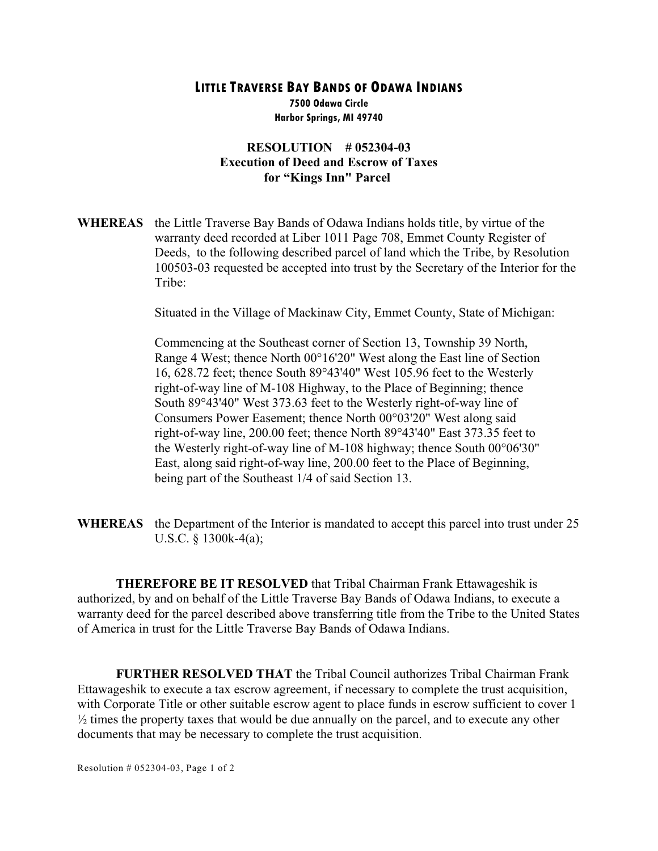## **LITTLE TRAVERSE BAY BANDS OF ODAWA INDIANS**

**7500 Odawa Circle Harbor Springs, MI 49740**

## **RESOLUTION # 052304-03 Execution of Deed and Escrow of Taxes for "Kings Inn" Parcel**

**WHEREAS** the Little Traverse Bay Bands of Odawa Indians holds title, by virtue of the warranty deed recorded at Liber 1011 Page 708, Emmet County Register of Deeds, to the following described parcel of land which the Tribe, by Resolution 100503-03 requested be accepted into trust by the Secretary of the Interior for the Tribe:

Situated in the Village of Mackinaw City, Emmet County, State of Michigan:

Commencing at the Southeast corner of Section 13, Township 39 North, Range 4 West; thence North 00°16'20" West along the East line of Section 16, 628.72 feet; thence South 89°43'40" West 105.96 feet to the Westerly right-of-way line of M-108 Highway, to the Place of Beginning; thence South 89°43'40" West 373.63 feet to the Westerly right-of-way line of Consumers Power Easement; thence North 00°03'20" West along said right-of-way line, 200.00 feet; thence North 89°43'40" East 373.35 feet to the Westerly right-of-way line of M-108 highway; thence South 00°06'30" East, along said right-of-way line, 200.00 feet to the Place of Beginning, being part of the Southeast 1/4 of said Section 13.

**WHEREAS** the Department of the Interior is mandated to accept this parcel into trust under 25 U.S.C. § 1300k-4(a);

**THEREFORE BE IT RESOLVED** that Tribal Chairman Frank Ettawageshik is authorized, by and on behalf of the Little Traverse Bay Bands of Odawa Indians, to execute a warranty deed for the parcel described above transferring title from the Tribe to the United States of America in trust for the Little Traverse Bay Bands of Odawa Indians.

**FURTHER RESOLVED THAT** the Tribal Council authorizes Tribal Chairman Frank Ettawageshik to execute a tax escrow agreement, if necessary to complete the trust acquisition, with Corporate Title or other suitable escrow agent to place funds in escrow sufficient to cover 1  $\frac{1}{2}$  times the property taxes that would be due annually on the parcel, and to execute any other documents that may be necessary to complete the trust acquisition.